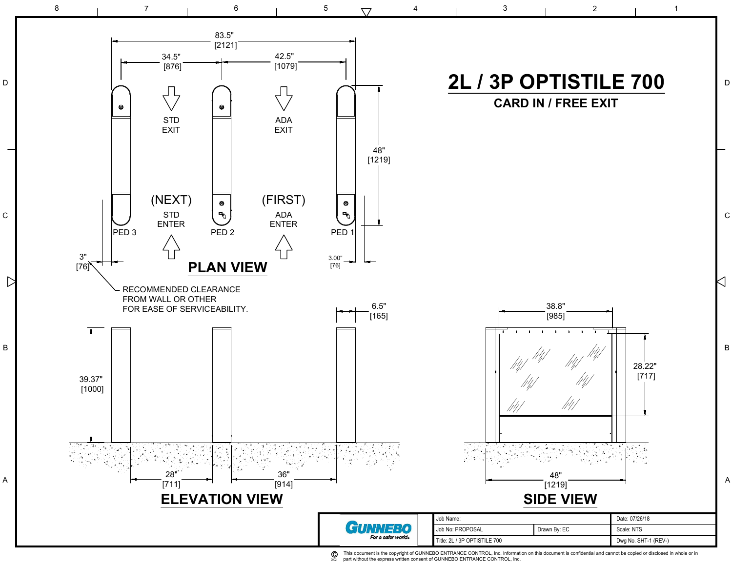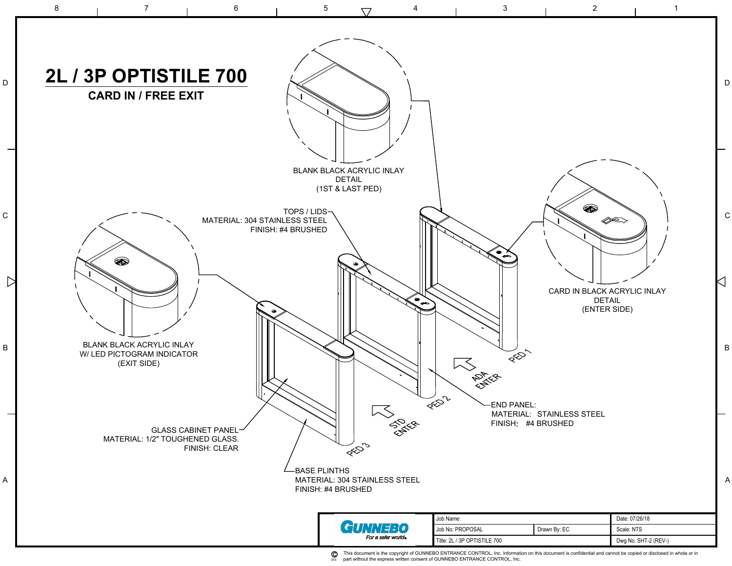